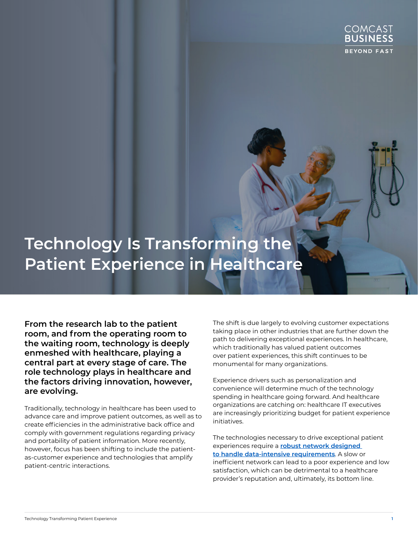

# **Technology Is Transforming the Patient Experience in Healthcare**

**From the research lab to the patient room, and from the operating room to the waiting room, technology is deeply enmeshed with healthcare, playing a central part at every stage of care. The role technology plays in healthcare and the factors driving innovation, however, are evolving.**

Traditionally, technology in healthcare has been used to advance care and improve patient outcomes, as well as to create efficiencies in the administrative back office and comply with government regulations regarding privacy and portability of patient information. More recently, however, focus has been shifting to include the patientas-customer experience and technologies that amplify patient-centric interactions.

The shift is due largely to evolving customer expectations taking place in other industries that are further down the path to delivering exceptional experiences. In healthcare, which traditionally has valued patient outcomes over patient experiences, this shift continues to be monumental for many organizations.

Experience drivers such as personalization and convenience will determine much of the technology spending in healthcare going forward. And healthcare organizations are catching on: healthcare IT executives are increasingly prioritizing budget for patient experience initiatives.

The technologies necessary to drive exceptional patient experiences require a **[robust network designed](https://cbcommunity.comcast.com/community/browse-all/details/sdn-powering-the-next-generation-of-healthcare-networks)  [to handle data-intensive requirements](https://cbcommunity.comcast.com/community/browse-all/details/sdn-powering-the-next-generation-of-healthcare-networks)**. A slow or inefficient network can lead to a poor experience and low satisfaction, which can be detrimental to a healthcare provider's reputation and, ultimately, its bottom line.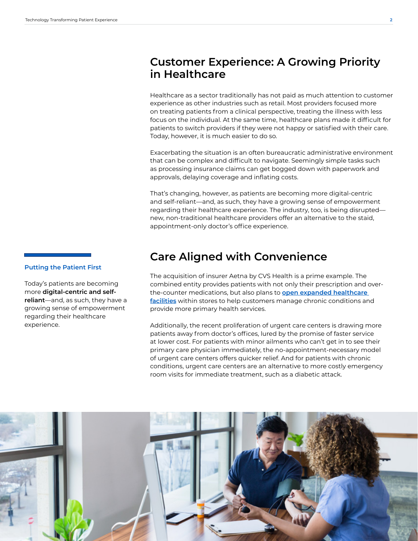#### **Customer Experience: A Growing Priority in Healthcare**

Healthcare as a sector traditionally has not paid as much attention to customer experience as other industries such as retail. Most providers focused more on treating patients from a clinical perspective, treating the illness with less focus on the individual. At the same time, healthcare plans made it difficult for patients to switch providers if they were not happy or satisfied with their care. Today, however, it is much easier to do so.

Exacerbating the situation is an often bureaucratic administrative environment that can be complex and difficult to navigate. Seemingly simple tasks such as processing insurance claims can get bogged down with paperwork and approvals, delaying coverage and inflating costs.

That's changing, however, as patients are becoming more digital-centric and self-reliant—and, as such, they have a growing sense of empowerment regarding their healthcare experience. The industry, too, is being disrupted new, non-traditional healthcare providers offer an alternative to the staid, appointment-only doctor's office experience.

### **Care Aligned with Convenience**

The acquisition of insurer Aetna by CVS Health is a prime example. The combined entity provides patients with not only their prescription and overthe-counter medications, but also plans to **[open expanded healthcare](https://cvshealth.com/thought-leadership/cvs-health-announces-significant-expansion-of-healthhub-to-deliver-a-differentiated-consumer-health-experience)  [facilities](https://cvshealth.com/thought-leadership/cvs-health-announces-significant-expansion-of-healthhub-to-deliver-a-differentiated-consumer-health-experience)** within stores to help customers manage chronic conditions and provide more primary health services.

Additionally, the recent proliferation of urgent care centers is drawing more patients away from doctor's offices, lured by the promise of faster service at lower cost. For patients with minor ailments who can't get in to see their primary care physician immediately, the no-appointment-necessary model of urgent care centers offers quicker relief. And for patients with chronic conditions, urgent care centers are an alternative to more costly emergency room visits for immediate treatment, such as a diabetic attack.



#### **Putting the Patient First**

Today's patients are becoming more **digital-centric and selfreliant**—and, as such, they have a growing sense of empowerment regarding their healthcare experience.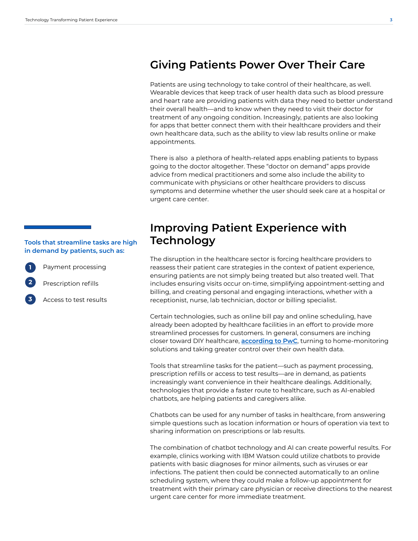### **Giving Patients Power Over Their Care**

Patients are using technology to take control of their healthcare, as well. Wearable devices that keep track of user health data such as blood pressure and heart rate are providing patients with data they need to better understand their overall health—and to know when they need to visit their doctor for treatment of any ongoing condition. Increasingly, patients are also looking for apps that better connect them with their healthcare providers and their own healthcare data, such as the ability to view lab results online or make appointments.

There is also a plethora of health-related apps enabling patients to bypass going to the doctor altogether. These "doctor on demand" apps provide advice from medical practitioners and some also include the ability to communicate with physicians or other healthcare providers to discuss symptoms and determine whether the user should seek care at a hospital or urgent care center.

#### **Improving Patient Experience with Technology**

The disruption in the healthcare sector is forcing healthcare providers to reassess their patient care strategies in the context of patient experience, ensuring patients are not simply being treated but also treated well. That includes ensuring visits occur on-time, simplifying appointment-setting and billing, and creating personal and engaging interactions, whether with a receptionist, nurse, lab technician, doctor or billing specialist.

Certain technologies, such as online bill pay and online scheduling, have already been adopted by healthcare facilities in an effort to provide more streamlined processes for customers. In general, consumers are inching closer toward DIY healthcare, **[according to PwC](https://www.pwc.com/us/en/industries/health-industries/assets/pwc-us-health-top-health-issues.pdf)**, turning to home-monitoring solutions and taking greater control over their own health data.

Tools that streamline tasks for the patient—such as payment processing, prescription refills or access to test results—are in demand, as patients increasingly want convenience in their healthcare dealings. Additionally, technologies that provide a faster route to healthcare, such as AI-enabled chatbots, are helping patients and caregivers alike.

Chatbots can be used for any number of tasks in healthcare, from answering simple questions such as location information or hours of operation via text to sharing information on prescriptions or lab results.

The combination of chatbot technology and AI can create powerful results. For example, clinics working with IBM Watson could utilize chatbots to provide patients with basic diagnoses for minor ailments, such as viruses or ear infections. The patient then could be connected automatically to an online scheduling system, where they could make a follow-up appointment for treatment with their primary care physician or receive directions to the nearest urgent care center for more immediate treatment.

#### **Tools that streamline tasks are high in demand by patients, such as:**

Payment processing

**1**

**2**

**3**

Prescription refills

Access to test results